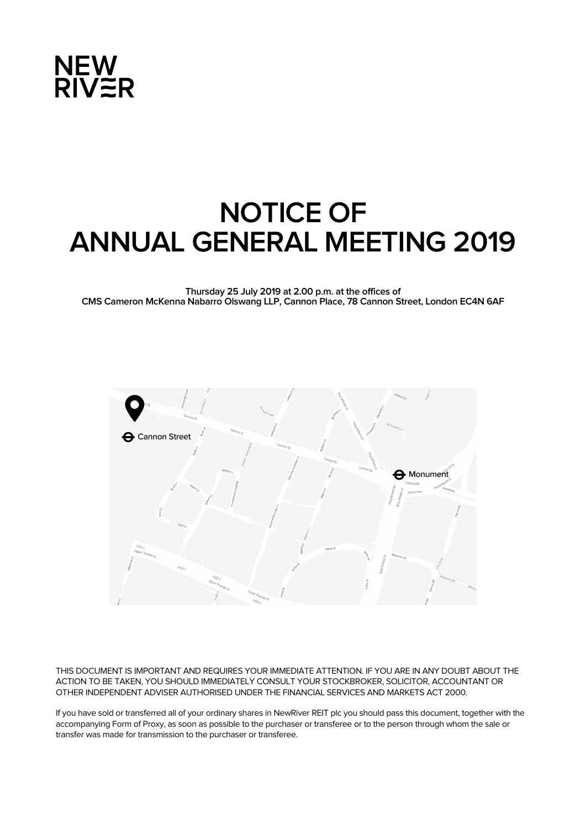

# **NOTICE OF ANNUAL GENERAL MEETING 2019**

**Thursday 25 July 2019 at 2.00 p.m. at the offices of CMS Cameron McKenna Nabarro Olswang LLP, Cannon Place, 78 Cannon Street, London EC4N 6AF** 



THIS DOCUMENT IS IMPORTANT AND REQUIRES YOUR IMMEDIATE ATTENTION. IF YOU ARE IN ANY DOUBT ABOUT THE ACTION TO BE TAKEN, YOU SHOULD IMMEDIATELY CONSULT YOUR STOCKBROKER, SOLICITOR, ACCOUNTANT OR OTHER INDEPENDENT ADVISER AUTHORISED UNDER THE FINANCIAL SERVICES AND MARKETS ACT 2000.

If you have sold or transferred all of your ordinary shares in NewRiver REIT plc you should pass this document, together with the accompanying Form of Proxy, as soon as possible to the purchaser or transferee or to the person through whom the sale or transfer was made for transmission to the purchaser or transferee.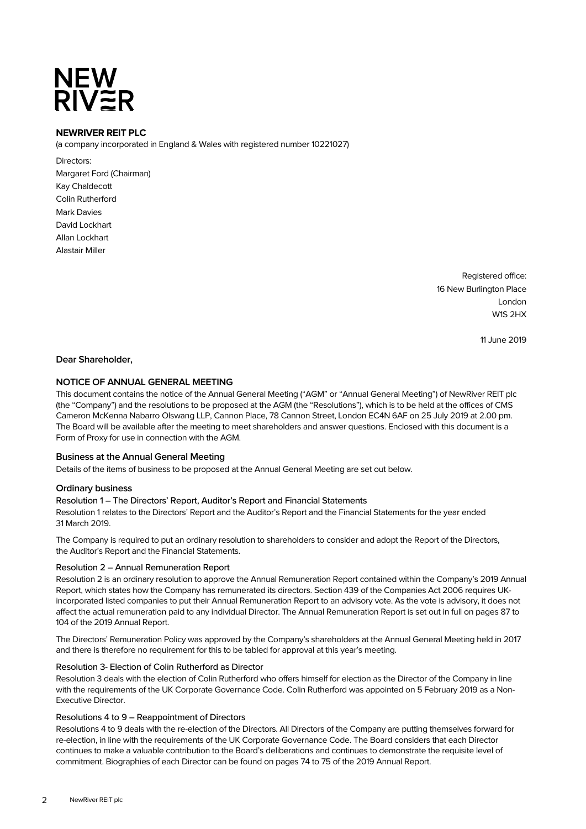# NEW<br>RIV≊R

# **NEWRIVER REIT PLC**

(a company incorporated in England & Wales with registered number 10221027)

Directors: Margaret Ford (Chairman) Kay Chaldecott Colin Rutherford Mark Davies David Lockhart Allan Lockhart Alastair Miller

> Registered office: 16 New Burlington Place London W1S 2HX

> > 11 June 2019

## **Dear Shareholder,**

# **NOTICE OF ANNUAL GENERAL MEETING**

This document contains the notice of the Annual General Meeting ("AGM" or "Annual General Meeting") of NewRiver REIT plc (the "Company") and the resolutions to be proposed at the AGM (the "Resolutions"), which is to be held at the offices of CMS Cameron McKenna Nabarro Olswang LLP, Cannon Place, 78 Cannon Street, London EC4N 6AF on 25 July 2019 at 2.00 pm. The Board will be available after the meeting to meet shareholders and answer questions. Enclosed with this document is a Form of Proxy for use in connection with the AGM.

## **Business at the Annual General Meeting**

Details of the items of business to be proposed at the Annual General Meeting are set out below.

## **Ordinary business**

# Resolution 1 – The Directors' Report, Auditor's Report and Financial Statements

Resolution 1 relates to the Directors' Report and the Auditor's Report and the Financial Statements for the year ended 31 March 2019.

The Company is required to put an ordinary resolution to shareholders to consider and adopt the Report of the Directors, the Auditor's Report and the Financial Statements.

## Resolution 2 – Annual Remuneration Report

Resolution 2 is an ordinary resolution to approve the Annual Remuneration Report contained within the Company's 2019 Annual Report, which states how the Company has remunerated its directors. Section 439 of the Companies Act 2006 requires UKincorporated listed companies to put their Annual Remuneration Report to an advisory vote. As the vote is advisory, it does not affect the actual remuneration paid to any individual Director. The Annual Remuneration Report is set out in full on pages 87 to 104 of the 2019 Annual Report.

The Directors' Remuneration Policy was approved by the Company's shareholders at the Annual General Meeting held in 2017 and there is therefore no requirement for this to be tabled for approval at this year's meeting.

# Resolution 3- Election of Colin Rutherford as Director

Resolution 3 deals with the election of Colin Rutherford who offers himself for election as the Director of the Company in line with the requirements of the UK Corporate Governance Code. Colin Rutherford was appointed on 5 February 2019 as a Non-Executive Director.

## Resolutions 4 to 9 – Reappointment of Directors

Resolutions 4 to 9 deals with the re-election of the Directors. All Directors of the Company are putting themselves forward for re-election, in line with the requirements of the UK Corporate Governance Code. The Board considers that each Director continues to make a valuable contribution to the Board's deliberations and continues to demonstrate the requisite level of commitment. Biographies of each Director can be found on pages 74 to 75 of the 2019 Annual Report.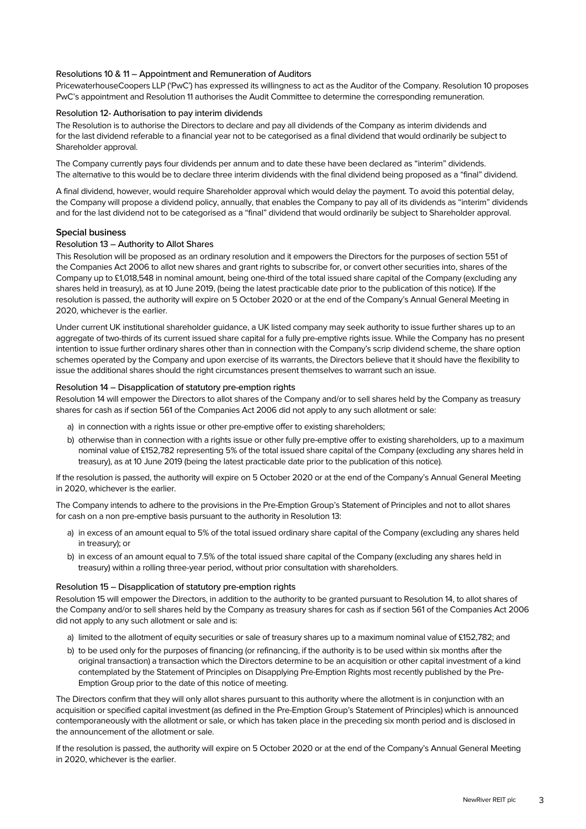# Resolutions 10 & 11 – Appointment and Remuneration of Auditors

PricewaterhouseCoopers LLP ('PwC') has expressed its willingness to act as the Auditor of the Company. Resolution 10 proposes PwC's appointment and Resolution 11 authorises the Audit Committee to determine the corresponding remuneration.

#### Resolution 12- Authorisation to pay interim dividends

The Resolution is to authorise the Directors to declare and pay all dividends of the Company as interim dividends and for the last dividend referable to a financial year not to be categorised as a final dividend that would ordinarily be subject to Shareholder approval.

The Company currently pays four dividends per annum and to date these have been declared as "interim" dividends. The alternative to this would be to declare three interim dividends with the final dividend being proposed as a "final" dividend.

A final dividend, however, would require Shareholder approval which would delay the payment. To avoid this potential delay, the Company will propose a dividend policy, annually, that enables the Company to pay all of its dividends as "interim" dividends and for the last dividend not to be categorised as a "final" dividend that would ordinarily be subject to Shareholder approval.

#### **Special business**

#### Resolution 13 – Authority to Allot Shares

This Resolution will be proposed as an ordinary resolution and it empowers the Directors for the purposes of section 551 of the Companies Act 2006 to allot new shares and grant rights to subscribe for, or convert other securities into, shares of the Company up to £1,018,548 in nominal amount, being one-third of the total issued share capital of the Company (excluding any shares held in treasury), as at 10 June 2019, (being the latest practicable date prior to the publication of this notice). If the resolution is passed, the authority will expire on 5 October 2020 or at the end of the Company's Annual General Meeting in 2020, whichever is the earlier.

Under current UK institutional shareholder guidance, a UK listed company may seek authority to issue further shares up to an aggregate of two-thirds of its current issued share capital for a fully pre-emptive rights issue. While the Company has no present intention to issue further ordinary shares other than in connection with the Company's scrip dividend scheme, the share option schemes operated by the Company and upon exercise of its warrants, the Directors believe that it should have the flexibility to issue the additional shares should the right circumstances present themselves to warrant such an issue.

#### Resolution 14 – Disapplication of statutory pre-emption rights

Resolution 14 will empower the Directors to allot shares of the Company and/or to sell shares held by the Company as treasury shares for cash as if section 561 of the Companies Act 2006 did not apply to any such allotment or sale:

- a) in connection with a rights issue or other pre-emptive offer to existing shareholders;
- b) otherwise than in connection with a rights issue or other fully pre-emptive offer to existing shareholders, up to a maximum nominal value of £152,782 representing 5% of the total issued share capital of the Company (excluding any shares held in treasury), as at 10 June 2019 (being the latest practicable date prior to the publication of this notice).

If the resolution is passed, the authority will expire on 5 October 2020 or at the end of the Company's Annual General Meeting in 2020, whichever is the earlier.

The Company intends to adhere to the provisions in the Pre-Emption Group's Statement of Principles and not to allot shares for cash on a non pre-emptive basis pursuant to the authority in Resolution 13:

- a) in excess of an amount equal to 5% of the total issued ordinary share capital of the Company (excluding any shares held in treasury); or
- b) in excess of an amount equal to 7.5% of the total issued share capital of the Company (excluding any shares held in treasury) within a rolling three-year period, without prior consultation with shareholders.

# Resolution 15 – Disapplication of statutory pre-emption rights

Resolution 15 will empower the Directors, in addition to the authority to be granted pursuant to Resolution 14, to allot shares of the Company and/or to sell shares held by the Company as treasury shares for cash as if section 561 of the Companies Act 2006 did not apply to any such allotment or sale and is:

- a) limited to the allotment of equity securities or sale of treasury shares up to a maximum nominal value of £152,782; and
- b) to be used only for the purposes of financing (or refinancing, if the authority is to be used within six months after the original transaction) a transaction which the Directors determine to be an acquisition or other capital investment of a kind contemplated by the Statement of Principles on Disapplying Pre-Emption Rights most recently published by the Pre-Emption Group prior to the date of this notice of meeting.

The Directors confirm that they will only allot shares pursuant to this authority where the allotment is in conjunction with an acquisition or specified capital investment (as defined in the Pre-Emption Group's Statement of Principles) which is announced contemporaneously with the allotment or sale, or which has taken place in the preceding six month period and is disclosed in the announcement of the allotment or sale.

If the resolution is passed, the authority will expire on 5 October 2020 or at the end of the Company's Annual General Meeting in 2020, whichever is the earlier.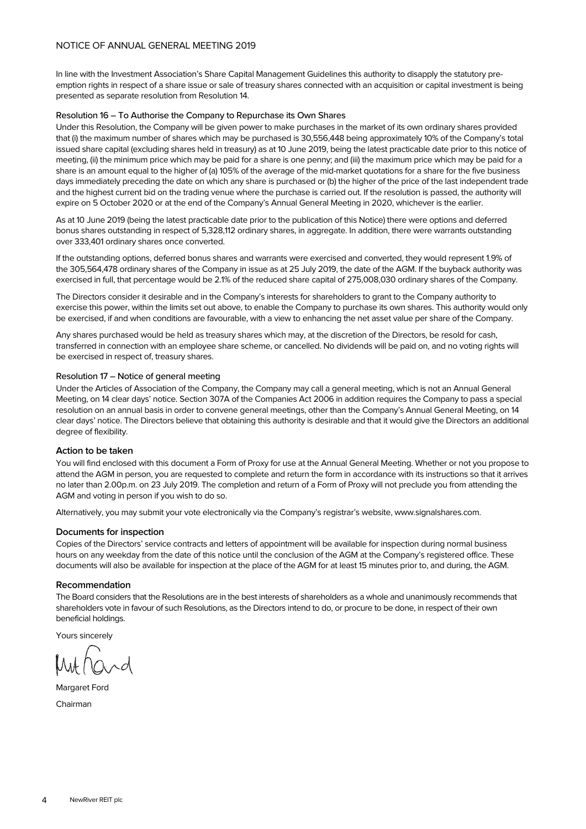In line with the Investment Association's Share Capital Management Guidelines this authority to disapply the statutory preemption rights in respect of a share issue or sale of treasury shares connected with an acquisition or capital investment is being presented as separate resolution from Resolution 14.

## Resolution 16 – To Authorise the Company to Repurchase its Own Shares

Under this Resolution, the Company will be given power to make purchases in the market of its own ordinary shares provided that (i) the maximum number of shares which may be purchased is 30,556,448 being approximately 10% of the Company's total issued share capital (excluding shares held in treasury) as at 10 June 2019, being the latest practicable date prior to this notice of meeting, (ii) the minimum price which may be paid for a share is one penny; and (iii) the maximum price which may be paid for a share is an amount equal to the higher of (a) 105% of the average of the mid-market quotations for a share for the five business days immediately preceding the date on which any share is purchased or (b) the higher of the price of the last independent trade and the highest current bid on the trading venue where the purchase is carried out. If the resolution is passed, the authority will expire on 5 October 2020 or at the end of the Company's Annual General Meeting in 2020, whichever is the earlier.

As at 10 June 2019 (being the latest practicable date prior to the publication of this Notice) there were options and deferred bonus shares outstanding in respect of 5,328,112 ordinary shares, in aggregate. In addition, there were warrants outstanding over 333,401 ordinary shares once converted.

If the outstanding options, deferred bonus shares and warrants were exercised and converted, they would represent 1.9% of the 305,564,478 ordinary shares of the Company in issue as at 25 July 2019, the date of the AGM. If the buyback authority was exercised in full, that percentage would be 2.1% of the reduced share capital of 275,008,030 ordinary shares of the Company.

The Directors consider it desirable and in the Company's interests for shareholders to grant to the Company authority to exercise this power, within the limits set out above, to enable the Company to purchase its own shares. This authority would only be exercised, if and when conditions are favourable, with a view to enhancing the net asset value per share of the Company.

Any shares purchased would be held as treasury shares which may, at the discretion of the Directors, be resold for cash, transferred in connection with an employee share scheme, or cancelled. No dividends will be paid on, and no voting rights will be exercised in respect of, treasury shares.

# Resolution 17 – Notice of general meeting

Under the Articles of Association of the Company, the Company may call a general meeting, which is not an Annual General Meeting, on 14 clear days' notice. Section 307A of the Companies Act 2006 in addition requires the Company to pass a special resolution on an annual basis in order to convene general meetings, other than the Company's Annual General Meeting, on 14 clear days' notice. The Directors believe that obtaining this authority is desirable and that it would give the Directors an additional degree of flexibility.

#### **Action to be taken**

You will find enclosed with this document a Form of Proxy for use at the Annual General Meeting. Whether or not you propose to attend the AGM in person, you are requested to complete and return the form in accordance with its instructions so that it arrives no later than 2.00p.m. on 23 July 2019. The completion and return of a Form of Proxy will not preclude you from attending the AGM and voting in person if you wish to do so.

Alternatively, you may submit your vote electronically via the Company's registrar's website, www.signalshares.com.

#### **Documents for inspection**

Copies of the Directors' service contracts and letters of appointment will be available for inspection during normal business hours on any weekday from the date of this notice until the conclusion of the AGM at the Company's registered office. These documents will also be available for inspection at the place of the AGM for at least 15 minutes prior to, and during, the AGM.

#### **Recommendation**

The Board considers that the Resolutions are in the best interests of shareholders as a whole and unanimously recommends that shareholders vote in favour of such Resolutions, as the Directors intend to do, or procure to be done, in respect of their own beneficial holdings.

Yours sincerely

Margaret Ford Chairman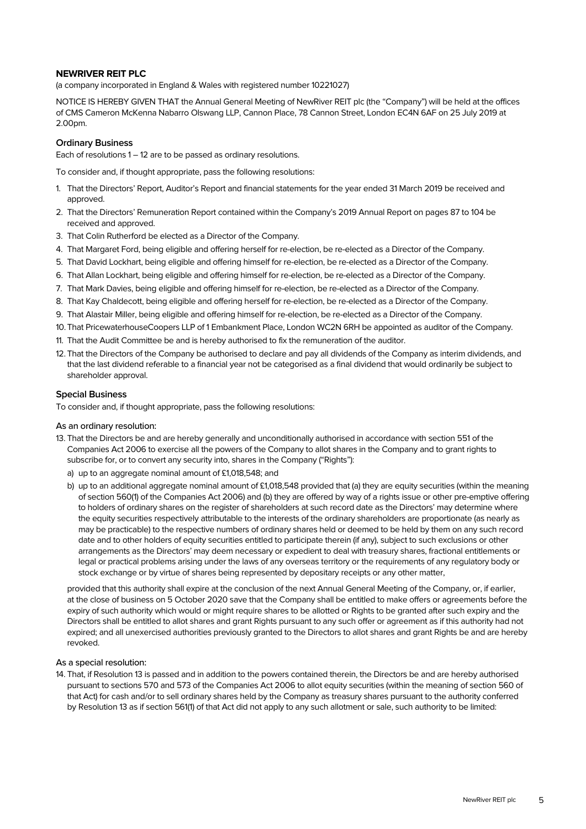## **NEWRIVER REIT PLC**

(a company incorporated in England & Wales with registered number 10221027)

NOTICE IS HEREBY GIVEN THAT the Annual General Meeting of NewRiver REIT plc (the "Company") will be held at the offices of CMS Cameron McKenna Nabarro Olswang LLP, Cannon Place, 78 Cannon Street, London EC4N 6AF on 25 July 2019 at 2.00pm.

# **Ordinary Business**

Each of resolutions 1 – 12 are to be passed as ordinary resolutions.

To consider and, if thought appropriate, pass the following resolutions:

- 1. That the Directors' Report, Auditor's Report and financial statements for the year ended 31 March 2019 be received and approved.
- 2. That the Directors' Remuneration Report contained within the Company's 2019 Annual Report on pages 87 to 104 be received and approved.
- 3. That Colin Rutherford be elected as a Director of the Company.
- 4. That Margaret Ford, being eligible and offering herself for re-election, be re-elected as a Director of the Company.
- 5. That David Lockhart, being eligible and offering himself for re-election, be re-elected as a Director of the Company.
- 6. That Allan Lockhart, being eligible and offering himself for re-election, be re-elected as a Director of the Company.
- 7. That Mark Davies, being eligible and offering himself for re-election, be re-elected as a Director of the Company.
- 8. That Kay Chaldecott, being eligible and offering herself for re-election, be re-elected as a Director of the Company.
- 9. That Alastair Miller, being eligible and offering himself for re-election, be re-elected as a Director of the Company.
- 10.That PricewaterhouseCoopers LLP of 1 Embankment Place, London WC2N 6RH be appointed as auditor of the Company.
- 11. That the Audit Committee be and is hereby authorised to fix the remuneration of the auditor.
- 12.That the Directors of the Company be authorised to declare and pay all dividends of the Company as interim dividends, and that the last dividend referable to a financial year not be categorised as a final dividend that would ordinarily be subject to shareholder approval.

## **Special Business**

To consider and, if thought appropriate, pass the following resolutions:

## As an ordinary resolution:

- 13. That the Directors be and are hereby generally and unconditionally authorised in accordance with section 551 of the Companies Act 2006 to exercise all the powers of the Company to allot shares in the Company and to grant rights to subscribe for, or to convert any security into, shares in the Company ("Rights"):
	- a) up to an aggregate nominal amount of £1,018,548; and
	- b) up to an additional aggregate nominal amount of £1,018,548 provided that (a) they are equity securities (within the meaning of section 560(1) of the Companies Act 2006) and (b) they are offered by way of a rights issue or other pre-emptive offering to holders of ordinary shares on the register of shareholders at such record date as the Directors' may determine where the equity securities respectively attributable to the interests of the ordinary shareholders are proportionate (as nearly as may be practicable) to the respective numbers of ordinary shares held or deemed to be held by them on any such record date and to other holders of equity securities entitled to participate therein (if any), subject to such exclusions or other arrangements as the Directors' may deem necessary or expedient to deal with treasury shares, fractional entitlements or legal or practical problems arising under the laws of any overseas territory or the requirements of any regulatory body or stock exchange or by virtue of shares being represented by depositary receipts or any other matter,

provided that this authority shall expire at the conclusion of the next Annual General Meeting of the Company, or, if earlier, at the close of business on 5 October 2020 save that the Company shall be entitled to make offers or agreements before the expiry of such authority which would or might require shares to be allotted or Rights to be granted after such expiry and the Directors shall be entitled to allot shares and grant Rights pursuant to any such offer or agreement as if this authority had not expired; and all unexercised authorities previously granted to the Directors to allot shares and grant Rights be and are hereby revoked.

# As a special resolution:

14. That, if Resolution 13 is passed and in addition to the powers contained therein, the Directors be and are hereby authorised pursuant to sections 570 and 573 of the Companies Act 2006 to allot equity securities (within the meaning of section 560 of that Act) for cash and/or to sell ordinary shares held by the Company as treasury shares pursuant to the authority conferred by Resolution 13 as if section 561(1) of that Act did not apply to any such allotment or sale, such authority to be limited: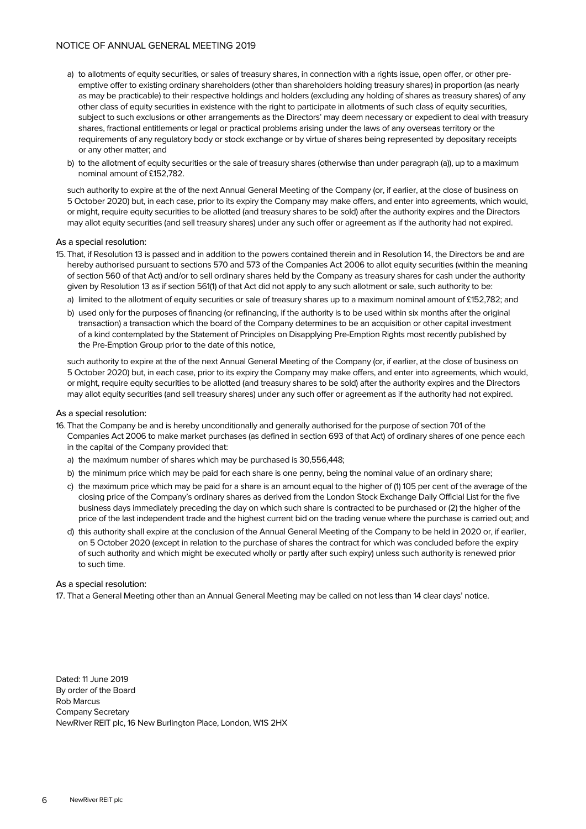# NOTICE OF ANNUAL GENERAL MEETING 2019

- a) to allotments of equity securities, or sales of treasury shares, in connection with a rights issue, open offer, or other preemptive offer to existing ordinary shareholders (other than shareholders holding treasury shares) in proportion (as nearly as may be practicable) to their respective holdings and holders (excluding any holding of shares as treasury shares) of any other class of equity securities in existence with the right to participate in allotments of such class of equity securities, subject to such exclusions or other arrangements as the Directors' may deem necessary or expedient to deal with treasury shares, fractional entitlements or legal or practical problems arising under the laws of any overseas territory or the requirements of any regulatory body or stock exchange or by virtue of shares being represented by depositary receipts or any other matter; and
- b) to the allotment of equity securities or the sale of treasury shares (otherwise than under paragraph (a)), up to a maximum nominal amount of £152,782.

such authority to expire at the of the next Annual General Meeting of the Company (or, if earlier, at the close of business on 5 October 2020) but, in each case, prior to its expiry the Company may make offers, and enter into agreements, which would, or might, require equity securities to be allotted (and treasury shares to be sold) after the authority expires and the Directors may allot equity securities (and sell treasury shares) under any such offer or agreement as if the authority had not expired.

#### As a special resolution:

- 15.That, if Resolution 13 is passed and in addition to the powers contained therein and in Resolution 14, the Directors be and are hereby authorised pursuant to sections 570 and 573 of the Companies Act 2006 to allot equity securities (within the meaning of section 560 of that Act) and/or to sell ordinary shares held by the Company as treasury shares for cash under the authority given by Resolution 13 as if section 561(1) of that Act did not apply to any such allotment or sale, such authority to be:
	- a) limited to the allotment of equity securities or sale of treasury shares up to a maximum nominal amount of £152,782; and
	- b) used only for the purposes of financing (or refinancing, if the authority is to be used within six months after the original transaction) a transaction which the board of the Company determines to be an acquisition or other capital investment of a kind contemplated by the Statement of Principles on Disapplying Pre-Emption Rights most recently published by the Pre-Emption Group prior to the date of this notice,

such authority to expire at the of the next Annual General Meeting of the Company (or, if earlier, at the close of business on 5 October 2020) but, in each case, prior to its expiry the Company may make offers, and enter into agreements, which would, or might, require equity securities to be allotted (and treasury shares to be sold) after the authority expires and the Directors may allot equity securities (and sell treasury shares) under any such offer or agreement as if the authority had not expired.

#### As a special resolution:

- 16.That the Company be and is hereby unconditionally and generally authorised for the purpose of section 701 of the Companies Act 2006 to make market purchases (as defined in section 693 of that Act) of ordinary shares of one pence each in the capital of the Company provided that:
	- a) the maximum number of shares which may be purchased is 30,556,448;
	- b) the minimum price which may be paid for each share is one penny, being the nominal value of an ordinary share;
	- c) the maximum price which may be paid for a share is an amount equal to the higher of (1) 105 per cent of the average of the closing price of the Company's ordinary shares as derived from the London Stock Exchange Daily Official List for the five business days immediately preceding the day on which such share is contracted to be purchased or (2) the higher of the price of the last independent trade and the highest current bid on the trading venue where the purchase is carried out; and
	- d) this authority shall expire at the conclusion of the Annual General Meeting of the Company to be held in 2020 or, if earlier, on 5 October 2020 (except in relation to the purchase of shares the contract for which was concluded before the expiry of such authority and which might be executed wholly or partly after such expiry) unless such authority is renewed prior to such time.

## As a special resolution:

17. That a General Meeting other than an Annual General Meeting may be called on not less than 14 clear days' notice.

Dated: 11 June 2019 By order of the Board Rob Marcus Company Secretary NewRiver REIT plc, 16 New Burlington Place, London, W1S 2HX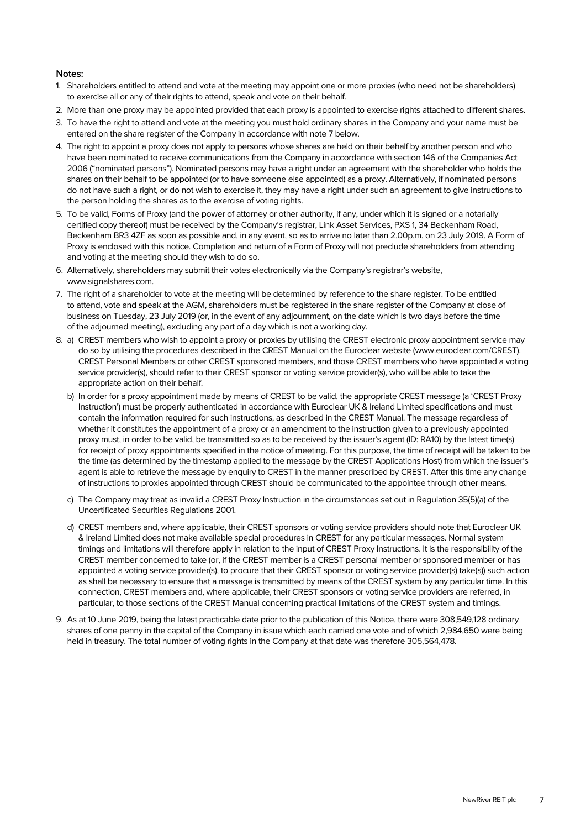#### **Notes:**

- 1. Shareholders entitled to attend and vote at the meeting may appoint one or more proxies (who need not be shareholders) to exercise all or any of their rights to attend, speak and vote on their behalf.
- 2. More than one proxy may be appointed provided that each proxy is appointed to exercise rights attached to different shares.
- 3. To have the right to attend and vote at the meeting you must hold ordinary shares in the Company and your name must be entered on the share register of the Company in accordance with note 7 below.
- 4. The right to appoint a proxy does not apply to persons whose shares are held on their behalf by another person and who have been nominated to receive communications from the Company in accordance with section 146 of the Companies Act 2006 ("nominated persons"). Nominated persons may have a right under an agreement with the shareholder who holds the shares on their behalf to be appointed (or to have someone else appointed) as a proxy. Alternatively, if nominated persons do not have such a right, or do not wish to exercise it, they may have a right under such an agreement to give instructions to the person holding the shares as to the exercise of voting rights.
- 5. To be valid, Forms of Proxy (and the power of attorney or other authority, if any, under which it is signed or a notarially certified copy thereof) must be received by the Company's registrar, Link Asset Services, PXS 1, 34 Beckenham Road, Beckenham BR3 4ZF as soon as possible and, in any event, so as to arrive no later than 2.00p.m. on 23 July 2019. A Form of Proxy is enclosed with this notice. Completion and return of a Form of Proxy will not preclude shareholders from attending and voting at the meeting should they wish to do so.
- 6. Alternatively, shareholders may submit their votes electronically via the Company's registrar's website, www.signalshares.com.
- 7. The right of a shareholder to vote at the meeting will be determined by reference to the share register. To be entitled to attend, vote and speak at the AGM, shareholders must be registered in the share register of the Company at close of business on Tuesday, 23 July 2019 (or, in the event of any adjournment, on the date which is two days before the time of the adjourned meeting), excluding any part of a day which is not a working day.
- 8. a) CREST members who wish to appoint a proxy or proxies by utilising the CREST electronic proxy appointment service may do so by utilising the procedures described in the CREST Manual on the Euroclear website (www.euroclear.com/CREST). CREST Personal Members or other CREST sponsored members, and those CREST members who have appointed a voting service provider(s), should refer to their CREST sponsor or voting service provider(s), who will be able to take the appropriate action on their behalf.
	- b) In order for a proxy appointment made by means of CREST to be valid, the appropriate CREST message (a 'CREST Proxy Instruction') must be properly authenticated in accordance with Euroclear UK & Ireland Limited specifications and must contain the information required for such instructions, as described in the CREST Manual. The message regardless of whether it constitutes the appointment of a proxy or an amendment to the instruction given to a previously appointed proxy must, in order to be valid, be transmitted so as to be received by the issuer's agent (ID: RA10) by the latest time(s) for receipt of proxy appointments specified in the notice of meeting. For this purpose, the time of receipt will be taken to be the time (as determined by the timestamp applied to the message by the CREST Applications Host) from which the issuer's agent is able to retrieve the message by enquiry to CREST in the manner prescribed by CREST. After this time any change of instructions to proxies appointed through CREST should be communicated to the appointee through other means.
	- c) The Company may treat as invalid a CREST Proxy Instruction in the circumstances set out in Regulation 35(5)(a) of the Uncertificated Securities Regulations 2001.
	- d) CREST members and, where applicable, their CREST sponsors or voting service providers should note that Euroclear UK & Ireland Limited does not make available special procedures in CREST for any particular messages. Normal system timings and limitations will therefore apply in relation to the input of CREST Proxy Instructions. It is the responsibility of the CREST member concerned to take (or, if the CREST member is a CREST personal member or sponsored member or has appointed a voting service provider(s), to procure that their CREST sponsor or voting service provider(s) take(s)) such action as shall be necessary to ensure that a message is transmitted by means of the CREST system by any particular time. In this connection, CREST members and, where applicable, their CREST sponsors or voting service providers are referred, in particular, to those sections of the CREST Manual concerning practical limitations of the CREST system and timings.
- 9. As at 10 June 2019, being the latest practicable date prior to the publication of this Notice, there were 308,549,128 ordinary shares of one penny in the capital of the Company in issue which each carried one vote and of which 2,984,650 were being held in treasury. The total number of voting rights in the Company at that date was therefore 305,564,478.